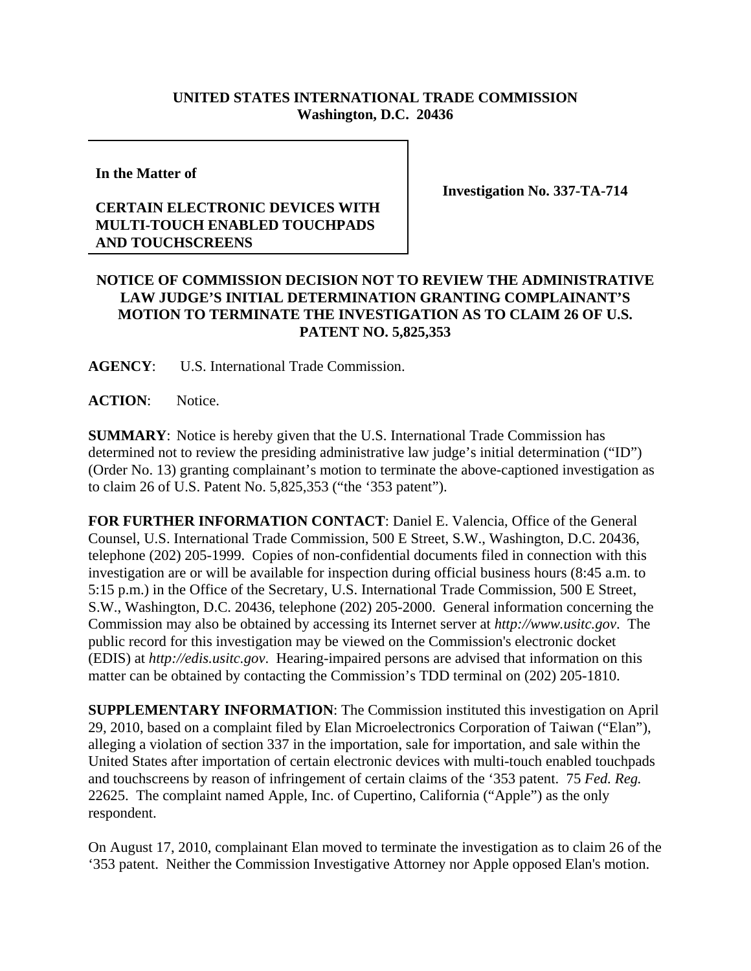## **UNITED STATES INTERNATIONAL TRADE COMMISSION Washington, D.C. 20436**

**In the Matter of** 

## **CERTAIN ELECTRONIC DEVICES WITH MULTI-TOUCH ENABLED TOUCHPADS AND TOUCHSCREENS**

**Investigation No. 337-TA-714**

## **NOTICE OF COMMISSION DECISION NOT TO REVIEW THE ADMINISTRATIVE LAW JUDGE'S INITIAL DETERMINATION GRANTING COMPLAINANT'S MOTION TO TERMINATE THE INVESTIGATION AS TO CLAIM 26 OF U.S. PATENT NO. 5,825,353**

**AGENCY**: U.S. International Trade Commission.

**ACTION**: Notice.

**SUMMARY**: Notice is hereby given that the U.S. International Trade Commission has determined not to review the presiding administrative law judge's initial determination ("ID") (Order No. 13) granting complainant's motion to terminate the above-captioned investigation as to claim 26 of U.S. Patent No. 5,825,353 ("the '353 patent").

**FOR FURTHER INFORMATION CONTACT**: Daniel E. Valencia, Office of the General Counsel, U.S. International Trade Commission, 500 E Street, S.W., Washington, D.C. 20436, telephone (202) 205-1999. Copies of non-confidential documents filed in connection with this investigation are or will be available for inspection during official business hours (8:45 a.m. to 5:15 p.m.) in the Office of the Secretary, U.S. International Trade Commission, 500 E Street, S.W., Washington, D.C. 20436, telephone (202) 205-2000. General information concerning the Commission may also be obtained by accessing its Internet server at *http://www.usitc.gov*. The public record for this investigation may be viewed on the Commission's electronic docket (EDIS) at *http://edis.usitc.gov*. Hearing-impaired persons are advised that information on this matter can be obtained by contacting the Commission's TDD terminal on (202) 205-1810.

**SUPPLEMENTARY INFORMATION**: The Commission instituted this investigation on April 29, 2010, based on a complaint filed by Elan Microelectronics Corporation of Taiwan ("Elan"), alleging a violation of section 337 in the importation, sale for importation, and sale within the United States after importation of certain electronic devices with multi-touch enabled touchpads and touchscreens by reason of infringement of certain claims of the '353 patent. 75 *Fed. Reg.* 22625. The complaint named Apple, Inc. of Cupertino, California ("Apple") as the only respondent.

On August 17, 2010, complainant Elan moved to terminate the investigation as to claim 26 of the '353 patent. Neither the Commission Investigative Attorney nor Apple opposed Elan's motion.